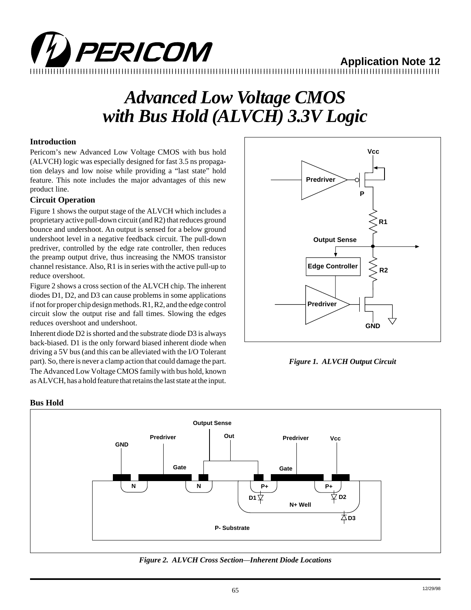

# **Application Note 12**

12345678901234567890123456789012123456789012345678901234567890121234567890123456789012345678901212345678901234567890123456789012123456789012 12345678901234567890123456789012123456789012345678901234567890121234567890123456789012345678901212345678901234567890123456789012123456789012

# *Advanced Low Voltage CMOS with Bus Hold (ALVCH) 3.3V Logic*

# **Introduction**

Pericom's new Advanced Low Voltage CMOS with bus hold (ALVCH) logic was especially designed for fast 3.5 ns propagation delays and low noise while providing a "last state" hold feature. This note includes the major advantages of this new product line.

# **Circuit Operation**

Figure 1 shows the output stage of the ALVCH which includes a proprietary active pull-down circuit (and R2) that reduces ground bounce and undershoot. An output is sensed for a below ground undershoot level in a negative feedback circuit. The pull-down predriver, controlled by the edge rate controller, then reduces the preamp output drive, thus increasing the NMOS transistor channel resistance. Also, R1 is in series with the active pull-up to reduce overshoot.

Figure 2 shows a cross section of the ALVCH chip. The inherent diodes D1, D2, and D3 can cause problems in some applications if not for proper chip design methods. R1, R2, and the edge control circuit slow the output rise and fall times. Slowing the edges reduces overshoot and undershoot.

Inherent diode D2 is shorted and the substrate diode D3 is always back-biased. D1 is the only forward biased inherent diode when driving a 5V bus (and this can be alleviated with the I/O Tolerant part). So, there is never a clamp action that could damage the part. The Advanced Low Voltage CMOS family with bus hold, known as ALVCH, has a hold feature that retains the last state at the input.



*Figure 1. ALVCH Output Circuit*



*Figure 2. ALVCH Cross Section—Inherent Diode Locations*